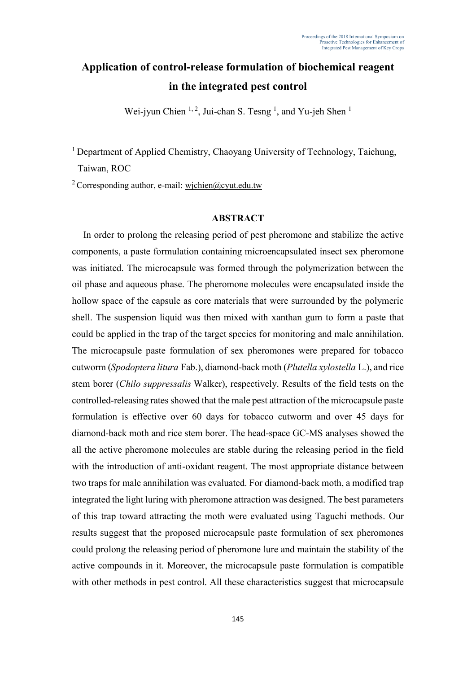## **Application of control-release formulation of biochemical reagent in the integrated pest control**

Wei-jyun Chien  $1, 2$ , Jui-chan S. Tesng <sup>1</sup>, and Yu-jeh Shen <sup>1</sup>

<sup>1</sup> Department of Applied Chemistry, Chaoyang University of Technology, Taichung, Taiwan, ROC

<sup>2</sup> Corresponding author, e-mail: wichien@cyut.edu.tw

## **ABSTRACT**

In order to prolong the releasing period of pest pheromone and stabilize the active components, a paste formulation containing microencapsulated insect sex pheromone was initiated. The microcapsule was formed through the polymerization between the oil phase and aqueous phase. The pheromone molecules were encapsulated inside the hollow space of the capsule as core materials that were surrounded by the polymeric shell. The suspension liquid was then mixed with xanthan gum to form a paste that could be applied in the trap of the target species for monitoring and male annihilation. The microcapsule paste formulation of sex pheromones were prepared for tobacco cutworm (*Spodoptera litura* Fab.), diamond-back moth (*Plutella xylostella* L.), and rice stem borer (*Chilo suppressalis* Walker), respectively. Results of the field tests on the controlled-releasing rates showed that the male pest attraction of the microcapsule paste formulation is effective over 60 days for tobacco cutworm and over 45 days for diamond-back moth and rice stem borer. The head-space GC-MS analyses showed the all the active pheromone molecules are stable during the releasing period in the field with the introduction of anti-oxidant reagent. The most appropriate distance between two traps for male annihilation was evaluated. For diamond-back moth, a modified trap integrated the light luring with pheromone attraction was designed. The best parameters of this trap toward attracting the moth were evaluated using Taguchi methods. Our results suggest that the proposed microcapsule paste formulation of sex pheromones could prolong the releasing period of pheromone lure and maintain the stability of the active compounds in it. Moreover, the microcapsule paste formulation is compatible with other methods in pest control. All these characteristics suggest that microcapsule